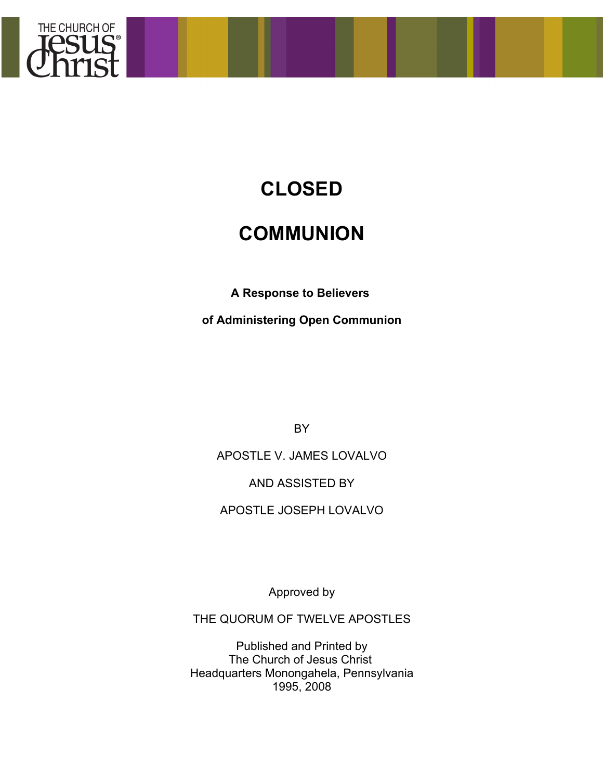

# **CLOSED**

## **COMMUNION**

**A Response to Believers**

**of Administering Open Communion**

BY

APOSTLE V. JAMES LOVALVO

AND ASSISTED BY

APOSTLE JOSEPH LOVALVO

Approved by

THE QUORUM OF TWELVE APOSTLES

Published and Printed by The Church of Jesus Christ Headquarters Monongahela, Pennsylvania 1995, 2008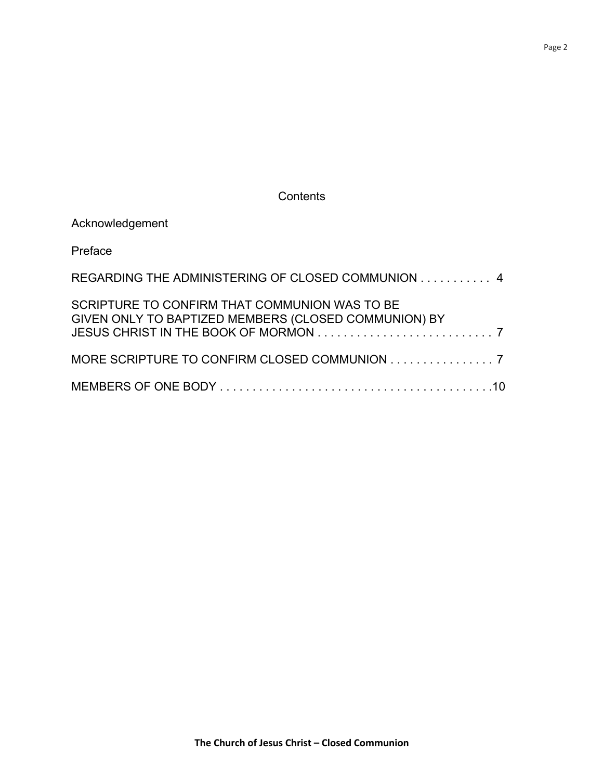**Contents** 

| Acknowledgement                                                                                       |
|-------------------------------------------------------------------------------------------------------|
| Preface                                                                                               |
| REGARDING THE ADMINISTERING OF CLOSED COMMUNION 4                                                     |
| SCRIPTURE TO CONFIRM THAT COMMUNION WAS TO BE<br>GIVEN ONLY TO BAPTIZED MEMBERS (CLOSED COMMUNION) BY |
| MORE SCRIPTURE TO CONFIRM CLOSED COMMUNION 7                                                          |
|                                                                                                       |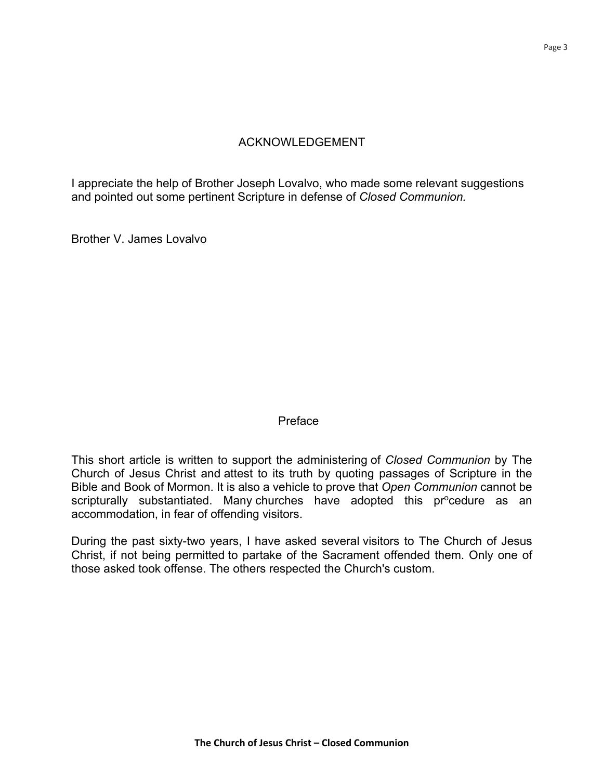## ACKNOWLEDGEMENT

I appreciate the help of Brother Joseph Lovalvo, who made some relevant suggestions and pointed out some pertinent Scripture in defense of *Closed Communion.*

Brother V. James Lovalvo

#### Preface

This short article is written to support the administering of *Closed Communion* by The Church of Jesus Christ and attest to its truth by quoting passages of Scripture in the Bible and Book of Mormon. It is also a vehicle to prove that *Open Communion* cannot be scripturally substantiated. Many churches have adopted this pr<sup>o</sup>cedure as an accommodation, in fear of offending visitors.

During the past sixty-two years, I have asked several visitors to The Church of Jesus Christ, if not being permitted to partake of the Sacrament offended them. Only one of those asked took offense. The others respected the Church's custom.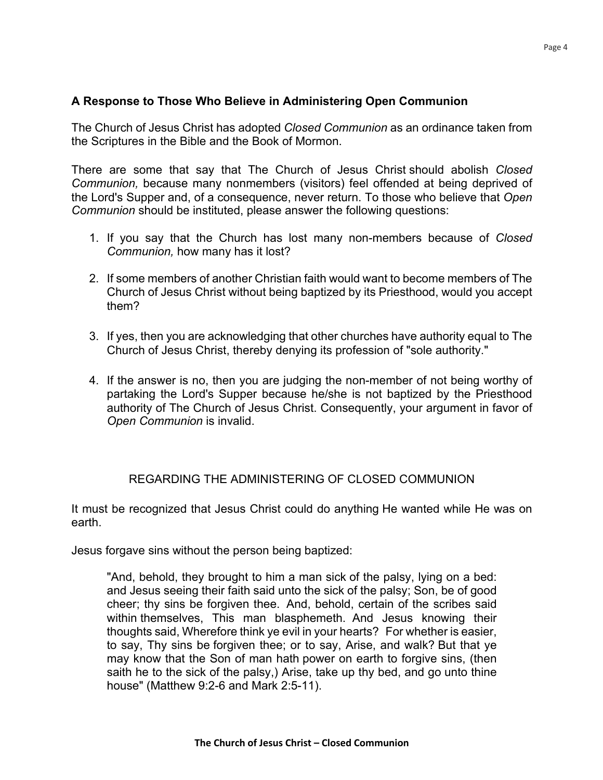## **A Response to Those Who Believe in Administering Open Communion**

The Church of Jesus Christ has adopted *Closed Communion* as an ordinance taken from the Scriptures in the Bible and the Book of Mormon.

There are some that say that The Church of Jesus Christ should abolish *Closed Communion,* because many nonmembers (visitors) feel offended at being deprived of the Lord's Supper and, of a consequence, never return. To those who believe that *Open Communion* should be instituted, please answer the following questions:

- 1. If you say that the Church has lost many non-members because of *Closed Communion,* how many has it lost?
- 2. If some members of another Christian faith would want to become members of The Church of Jesus Christ without being baptized by its Priesthood, would you accept them?
- 3. If yes, then you are acknowledging that other churches have authority equal to The Church of Jesus Christ, thereby denying its profession of "sole authority."
- 4. If the answer is no, then you are judging the non-member of not being worthy of partaking the Lord's Supper because he/she is not baptized by the Priesthood authority of The Church of Jesus Christ. Consequently, your argument in favor of *Open Communion* is invalid.

## REGARDING THE ADMINISTERING OF CLOSED COMMUNION

It must be recognized that Jesus Christ could do anything He wanted while He was on earth.

Jesus forgave sins without the person being baptized:

"And, behold, they brought to him a man sick of the palsy, lying on a bed: and Jesus seeing their faith said unto the sick of the palsy; Son, be of good cheer; thy sins be forgiven thee. And, behold, certain of the scribes said within themselves, This man blasphemeth. And Jesus knowing their thoughts said, Wherefore think ye evil in your hearts? For whether is easier, to say, Thy sins be forgiven thee; or to say, Arise, and walk? But that ye may know that the Son of man hath power on earth to forgive sins, (then saith he to the sick of the palsy,) Arise, take up thy bed, and go unto thine house" (Matthew 9:2-6 and Mark 2:5-11).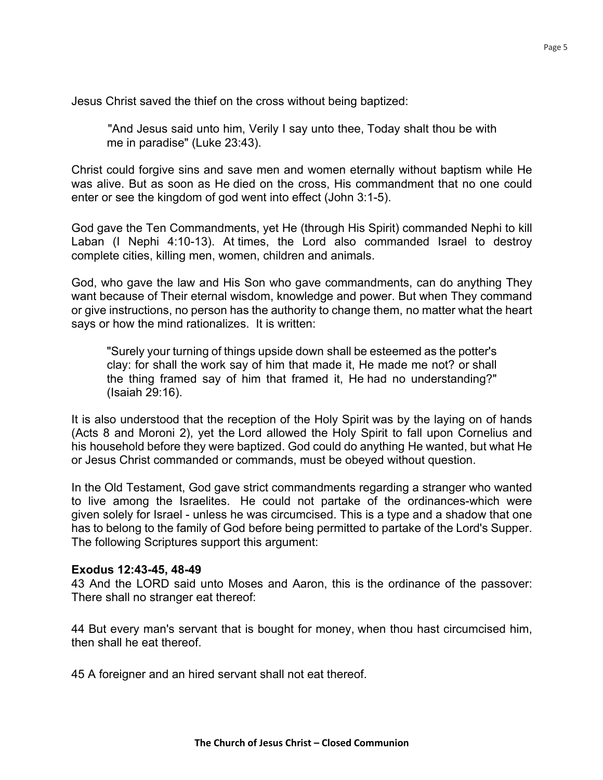Jesus Christ saved the thief on the cross without being baptized:

"And Jesus said unto him, Verily I say unto thee, Today shalt thou be with me in paradise" (Luke 23:43).

Christ could forgive sins and save men and women eternally without baptism while He was alive. But as soon as He died on the cross, His commandment that no one could enter or see the kingdom of god went into effect (John 3:1-5).

God gave the Ten Commandments, yet He (through His Spirit) commanded Nephi to kill Laban (I Nephi 4:10-13). At times, the Lord also commanded Israel to destroy complete cities, killing men, women, children and animals.

God, who gave the law and His Son who gave commandments, can do anything They want because of Their eternal wisdom, knowledge and power. But when They command or give instructions, no person has the authority to change them, no matter what the heart says or how the mind rationalizes. It is written:

"Surely your turning of things upside down shall be esteemed as the potter's clay: for shall the work say of him that made it, He made me not? or shall the thing framed say of him that framed it, He had no understanding?" (Isaiah 29:16).

It is also understood that the reception of the Holy Spirit was by the laying on of hands (Acts 8 and Moroni 2), yet the Lord allowed the Holy Spirit to fall upon Cornelius and his household before they were baptized. God could do anything He wanted, but what He or Jesus Christ commanded or commands, must be obeyed without question.

In the Old Testament, God gave strict commandments regarding a stranger who wanted to live among the Israelites. He could not partake of the ordinances-which were given solely for Israel - unless he was circumcised. This is a type and a shadow that one has to belong to the family of God before being permitted to partake of the Lord's Supper. The following Scriptures support this argument:

#### **Exodus 12:43-45, 48-49**

43 And the LORD said unto Moses and Aaron, this is the ordinance of the passover: There shall no stranger eat thereof:

44 But every man's servant that is bought for money, when thou hast circumcised him, then shall he eat thereof.

45 A foreigner and an hired servant shall not eat thereof.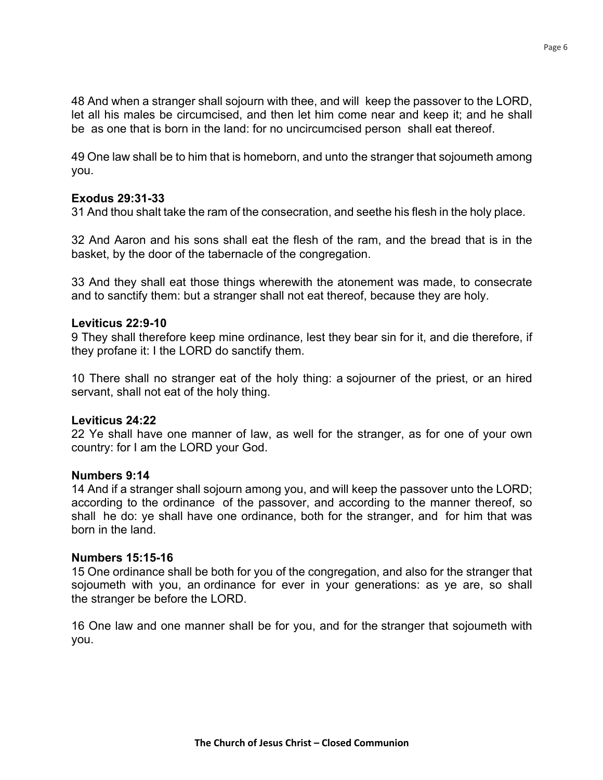48 And when a stranger shall sojourn with thee, and will keep the passover to the LORD, let all his males be circumcised, and then let him come near and keep it; and he shall be as one that is born in the land: for no uncircumcised person shall eat thereof.

49 One law shall be to him that is homeborn, and unto the stranger that sojoumeth among you.

#### **Exodus 29:31-33**

31 And thou shalt take the ram of the consecration, and seethe his flesh in the holy place.

32 And Aaron and his sons shall eat the flesh of the ram, and the bread that is in the basket, by the door of the tabernacle of the congregation.

33 And they shall eat those things wherewith the atonement was made, to consecrate and to sanctify them: but a stranger shall not eat thereof, because they are holy.

#### **Leviticus 22:9-10**

9 They shall therefore keep mine ordinance, lest they bear sin for it, and die therefore, if they profane it: I the LORD do sanctify them.

10 There shall no stranger eat of the holy thing: a sojourner of the priest, or an hired servant, shall not eat of the holy thing.

#### **Leviticus 24:22**

22 Ye shall have one manner of law, as well for the stranger, as for one of your own country: for I am the LORD your God.

#### **Numbers 9:14**

14 And if a stranger shall sojourn among you, and will keep the passover unto the LORD; according to the ordinance of the passover, and according to the manner thereof, so shall he do: ye shall have one ordinance, both for the stranger, and for him that was born in the land.

#### **Numbers 15:15-16**

15 One ordinance shall be both for you of the congregation, and also for the stranger that sojoumeth with you, an ordinance for ever in your generations: as ye are, so shall the stranger be before the LORD.

16 One law and one manner shalI be for you, and for the stranger that sojoumeth with you.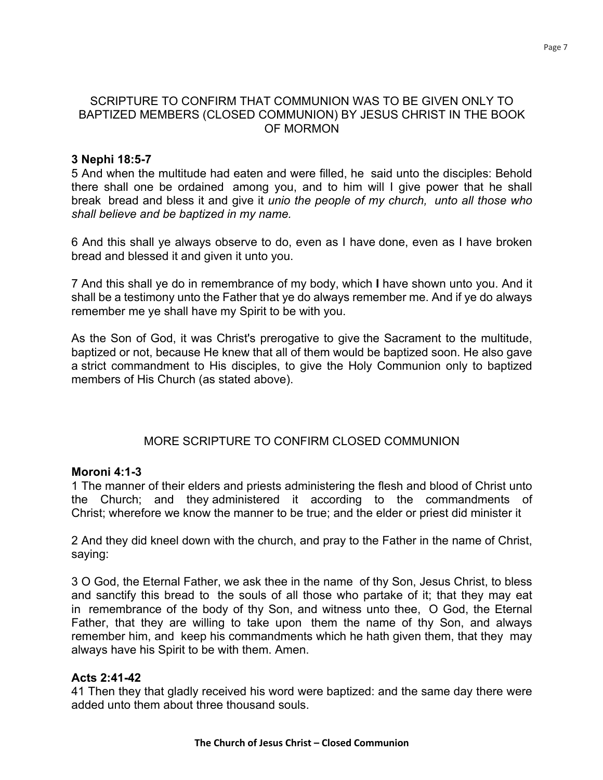#### SCRIPTURE TO CONFIRM THAT COMMUNION WAS TO BE GIVEN ONLY TO BAPTIZED MEMBERS (CLOSED COMMUNION) BY JESUS CHRIST IN THE BOOK OF MORMON

#### **3 Nephi 18:5-7**

5 And when the multitude had eaten and were filled, he said unto the disciples: Behold there shall one be ordained among you, and to him will I give power that he shall break bread and bless it and give it *unio the people of my church, unto all those who shall believe and be baptized in my name.*

6 And this shall ye always observe to do, even as I have done, even as I have broken bread and blessed it and given it unto you.

7 And this shall ye do in remembrance of my body, which **I** have shown unto you. And it shall be a testimony unto the Father that ye do always remember me. And if ye do always remember me ye shall have my Spirit to be with you.

As the Son of God, it was Christ's prerogative to give the Sacrament to the multitude, baptized or not, because He knew that all of them would be baptized soon. He also gave a strict commandment to His disciples, to give the Holy Communion only to baptized members of His Church (as stated above).

## MORE SCRIPTURE TO CONFIRM CLOSED COMMUNION

#### **Moroni 4:1-3**

1 The manner of their elders and priests administering the flesh and blood of Christ unto the Church; and they administered it according to the commandments of Christ; wherefore we know the manner to be true; and the elder or priest did minister it

2 And they did kneel down with the church, and pray to the Father in the name of Christ, saying:

3 O God, the Eternal Father, we ask thee in the name of thy Son, Jesus Christ, to bless and sanctify this bread to the souls of all those who partake of it; that they may eat in remembrance of the body of thy Son, and witness unto thee, O God, the Eternal Father, that they are willing to take upon them the name of thy Son, and always remember him, and keep his commandments which he hath given them, that they may always have his Spirit to be with them. Amen.

## **Acts 2:41-42**

41 Then they that gladly received his word were baptized: and the same day there were added unto them about three thousand souls.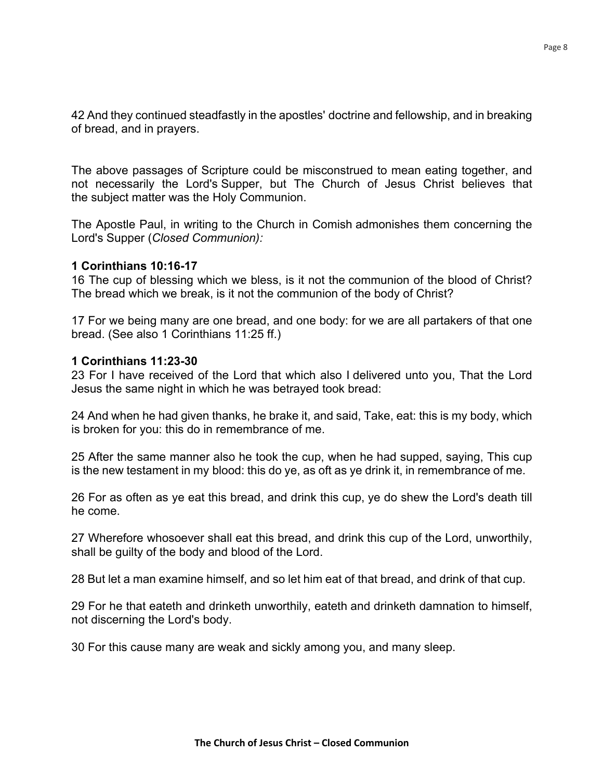42 And they continued steadfastly in the apostles' doctrine and fellowship, and in breaking of bread, and in prayers.

The above passages of Scripture could be misconstrued to mean eating together, and not necessarily the Lord's Supper, but The Church of Jesus Christ believes that the subject matter was the Holy Communion.

The Apostle Paul, in writing to the Church in Comish admonishes them concerning the Lord's Supper (*Closed Communion):*

#### **1 Corinthians 10:16-17**

16 The cup of blessing which we bless, is it not the communion of the blood of Christ? The bread which we break, is it not the communion of the body of Christ?

17 For we being many are one bread, and one body: for we are all partakers of that one bread. (See also 1 Corinthians 11:25 ff.)

#### **1 Corinthians 11:23-30**

23 For I have received of the Lord that which also I delivered unto you, That the Lord Jesus the same night in which he was betrayed took bread:

24 And when he had given thanks, he brake it, and said, Take, eat: this is my body, which is broken for you: this do in remembrance of me.

25 After the same manner also he took the cup, when he had supped, saying, This cup is the new testament in my blood: this do ye, as oft as ye drink it, in remembrance of me.

26 For as often as ye eat this bread, and drink this cup, ye do shew the Lord's death till he come.

27 Wherefore whosoever shall eat this bread, and drink this cup of the Lord, unworthily, shall be guilty of the body and blood of the Lord.

28 But let a man examine himself, and so let him eat of that bread, and drink of that cup.

29 For he that eateth and drinketh unworthily, eateth and drinketh damnation to himself, not discerning the Lord's body.

30 For this cause many are weak and sickly among you, and many sleep.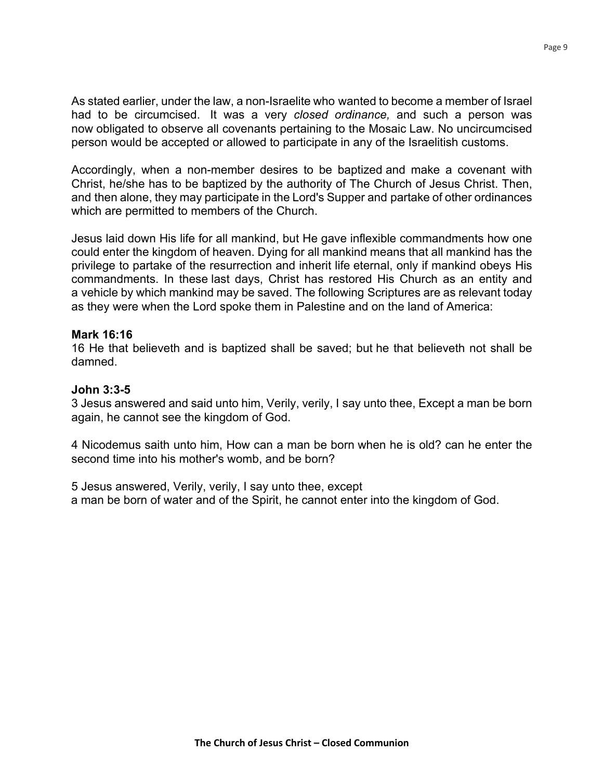As stated earlier, under the law, a non-Israelite who wanted to become a member of Israel had to be circumcised. It was a very *closed ordinance,* and such a person was now obligated to observe all covenants pertaining to the Mosaic Law. No uncircumcised person would be accepted or allowed to participate in any of the Israelitish customs.

Accordingly, when a non-member desires to be baptized and make a covenant with Christ, he/she has to be baptized by the authority of The Church of Jesus Christ. Then, and then alone, they may participate in the Lord's Supper and partake of other ordinances which are permitted to members of the Church.

Jesus laid down His life for all mankind, but He gave inflexible commandments how one could enter the kingdom of heaven. Dying for all mankind means that all mankind has the privilege to partake of the resurrection and inherit life eternal, only if mankind obeys His commandments. In these last days, Christ has restored His Church as an entity and a vehicle by which mankind may be saved. The following Scriptures are as relevant today as they were when the Lord spoke them in Palestine and on the land of America:

#### **Mark 16:16**

16 He that believeth and is baptized shall be saved; but he that believeth not shall be damned.

#### **John 3:3-5**

3 Jesus answered and said unto him, Verily, verily, I say unto thee, Except a man be born again, he cannot see the kingdom of God.

4 Nicodemus saith unto him, How can a man be born when he is old? can he enter the second time into his mother's womb, and be born?

5 Jesus answered, Verily, verily, I say unto thee, except a man be born of water and of the Spirit, he cannot enter into the kingdom of God.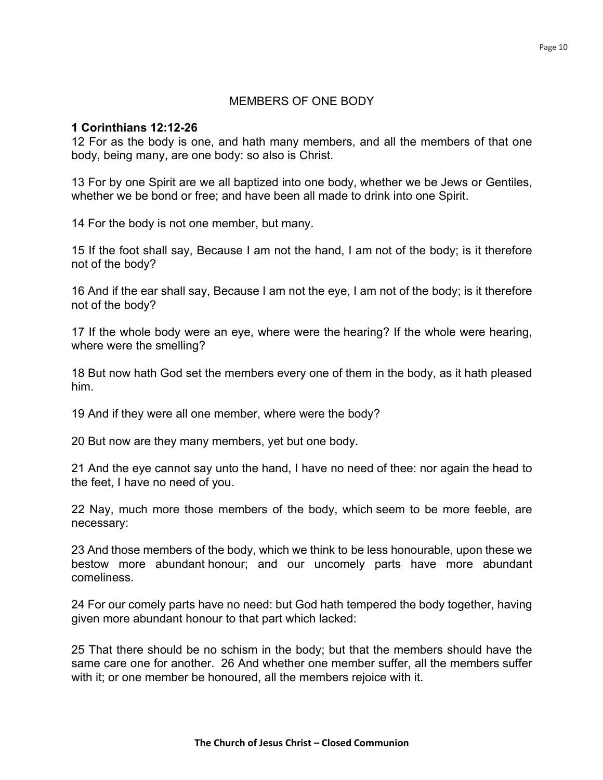#### MEMBERS OF ONE BODY

#### **1 Corinthians 12:12-26**

12 For as the body is one, and hath many members, and all the members of that one body, being many, are one body: so also is Christ.

13 For by one Spirit are we all baptized into one body, whether we be Jews or Gentiles, whether we be bond or free; and have been all made to drink into one Spirit.

14 For the body is not one member, but many.

15 If the foot shall say, Because I am not the hand, I am not of the body; is it therefore not of the body?

16 And if the ear shall say, Because I am not the eye, I am not of the body; is it therefore not of the body?

17 If the whole body were an eye, where were the hearing? If the whole were hearing, where were the smelling?

18 But now hath God set the members every one of them in the body, as it hath pleased him.

19 And if they were all one member, where were the body?

20 But now are they many members, yet but one body.

21 And the eye cannot say unto the hand, I have no need of thee: nor again the head to the feet, I have no need of you.

22 Nay, much more those members of the body, which seem to be more feeble, are necessary:

23 And those members of the body, which we think to be less honourable, upon these we bestow more abundant honour; and our uncomely parts have more abundant comeliness.

24 For our comely parts have no need: but God hath tempered the body together, having given more abundant honour to that part which lacked:

25 That there should be no schism in the body; but that the members should have the same care one for another. 26 And whether one member suffer, all the members suffer with it; or one member be honoured, all the members rejoice with it.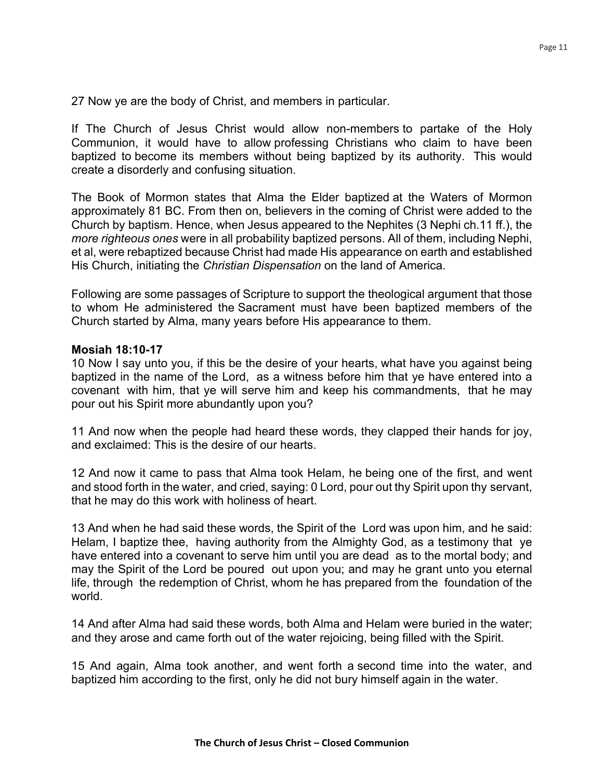27 Now ye are the body of Christ, and members in particular.

If The Church of Jesus Christ would allow non-members to partake of the Holy Communion, it would have to allow professing Christians who claim to have been baptized to become its members without being baptized by its authority. This would create a disorderly and confusing situation.

The Book of Mormon states that Alma the Elder baptized at the Waters of Mormon approximately 81 BC. From then on, believers in the coming of Christ were added to the Church by baptism. Hence, when Jesus appeared to the Nephites (3 Nephi ch.11 ff.), the *more righteous ones* were in all probability baptized persons. All of them, including Nephi, et al, were rebaptized because Christ had made His appearance on earth and established His Church, initiating the *Christian Dispensation* on the land of America.

Following are some passages of Scripture to support the theological argument that those to whom He administered the Sacrament must have been baptized members of the Church started by Alma, many years before His appearance to them.

#### **Mosiah 18:10-17**

10 Now I say unto you, if this be the desire of your hearts, what have you against being baptized in the name of the Lord, as a witness before him that ye have entered into a covenant with him, that ye will serve him and keep his commandments, that he may pour out his Spirit more abundantly upon you?

11 And now when the people had heard these words, they clapped their hands for joy, and exclaimed: This is the desire of our hearts.

12 And now it came to pass that Alma took Helam, he being one of the first, and went and stood forth in the water, and cried, saying: 0 Lord, pour out thy Spirit upon thy servant, that he may do this work with holiness of heart.

13 And when he had said these words, the Spirit of the Lord was upon him, and he said: Helam, I baptize thee, having authority from the Almighty God, as a testimony that ye have entered into a covenant to serve him until you are dead as to the mortal body; and may the Spirit of the Lord be poured out upon you; and may he grant unto you eternal life, through the redemption of Christ, whom he has prepared from the foundation of the world.

14 And after Alma had said these words, both Alma and Helam were buried in the water; and they arose and came forth out of the water rejoicing, being filled with the Spirit.

15 And again, Alma took another, and went forth a second time into the water, and baptized him according to the first, only he did not bury himself again in the water.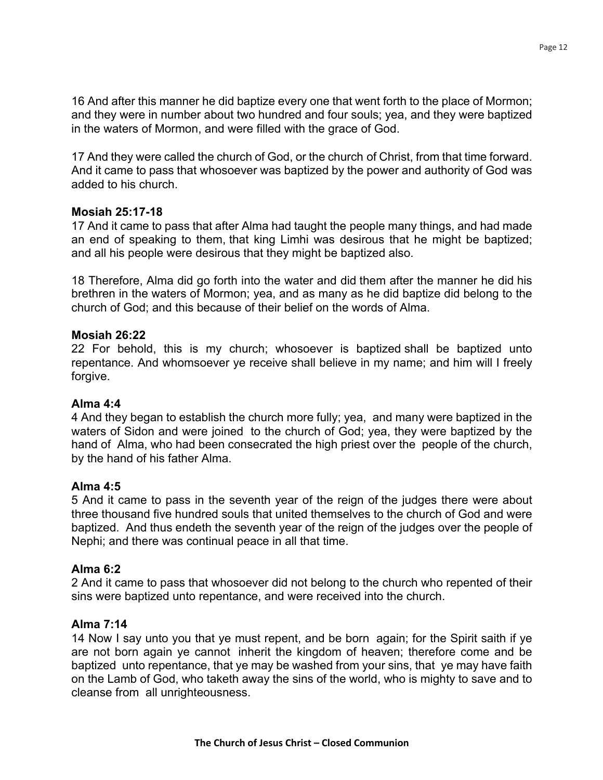16 And after this manner he did baptize every one that went forth to the place of Mormon; and they were in number about two hundred and four souls; yea, and they were baptized in the waters of Mormon, and were filled with the grace of God.

17 And they were called the church of God, or the church of Christ, from that time forward. And it came to pass that whosoever was baptized by the power and authority of God was added to his church.

## **Mosiah 25:17-18**

17 And it came to pass that after Alma had taught the people many things, and had made an end of speaking to them, that king Limhi was desirous that he might be baptized; and all his people were desirous that they might be baptized also.

18 Therefore, Alma did go forth into the water and did them after the manner he did his brethren in the waters of Mormon; yea, and as many as he did baptize did belong to the church of God; and this because of their belief on the words of Alma.

## **Mosiah 26:22**

22 For behold, this is my church; whosoever is baptized shall be baptized unto repentance. And whomsoever ye receive shall believe in my name; and him will I freely forgive.

## **Alma 4:4**

4 And they began to establish the church more fully; yea, and many were baptized in the waters of Sidon and were joined to the church of God; yea, they were baptized by the hand of Alma, who had been consecrated the high priest over the people of the church, by the hand of his father Alma.

## **Alma 4:5**

5 And it came to pass in the seventh year of the reign of the judges there were about three thousand five hundred souls that united themselves to the church of God and were baptized. And thus endeth the seventh year of the reign of the judges over the people of Nephi; and there was continual peace in all that time.

#### **Alma 6:2**

2 And it came to pass that whosoever did not belong to the church who repented of their sins were baptized unto repentance, and were received into the church.

## **Alma 7:14**

14 Now I say unto you that ye must repent, and be born again; for the Spirit saith if ye are not born again ye cannot inherit the kingdom of heaven; therefore come and be baptized unto repentance, that ye may be washed from your sins, that ye may have faith on the Lamb of God, who taketh away the sins of the world, who is mighty to save and to cleanse from all unrighteousness.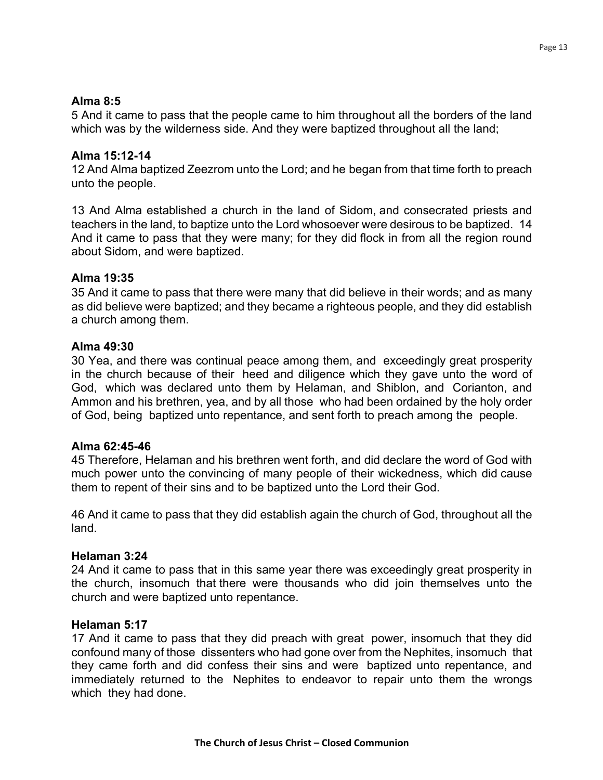### **Alma 8:5**

5 And it came to pass that the people came to him throughout all the borders of the land which was by the wilderness side. And they were baptized throughout all the land;

## **Alma 15:12-14**

12 And Alma baptized Zeezrom unto the Lord; and he began from that time forth to preach unto the people.

13 And Alma established a church in the land of Sidom, and consecrated priests and teachers in the land, to baptize unto the Lord whosoever were desirous to be baptized. 14 And it came to pass that they were many; for they did flock in from all the region round about Sidom, and were baptized.

## **Alma 19:35**

35 And it came to pass that there were many that did believe in their words; and as many as did believe were baptized; and they became a righteous people, and they did establish a church among them.

#### **Alma 49:30**

30 Yea, and there was continual peace among them, and exceedingly great prosperity in the church because of their heed and diligence which they gave unto the word of God, which was declared unto them by Helaman, and Shiblon, and Corianton, and Ammon and his brethren, yea, and by all those who had been ordained by the holy order of God, being baptized unto repentance, and sent forth to preach among the people.

#### **Alma 62:45-46**

45 Therefore, Helaman and his brethren went forth, and did declare the word of God with much power unto the convincing of many people of their wickedness, which did cause them to repent of their sins and to be baptized unto the Lord their God.

46 And it came to pass that they did establish again the church of God, throughout all the land.

#### **Helaman 3:24**

24 And it came to pass that in this same year there was exceedingly great prosperity in the church, insomuch that there were thousands who did join themselves unto the church and were baptized unto repentance.

#### **Helaman 5:17**

17 And it came to pass that they did preach with great power, insomuch that they did confound many of those dissenters who had gone over from the Nephites, insomuch that they came forth and did confess their sins and were baptized unto repentance, and immediately returned to the Nephites to endeavor to repair unto them the wrongs which they had done.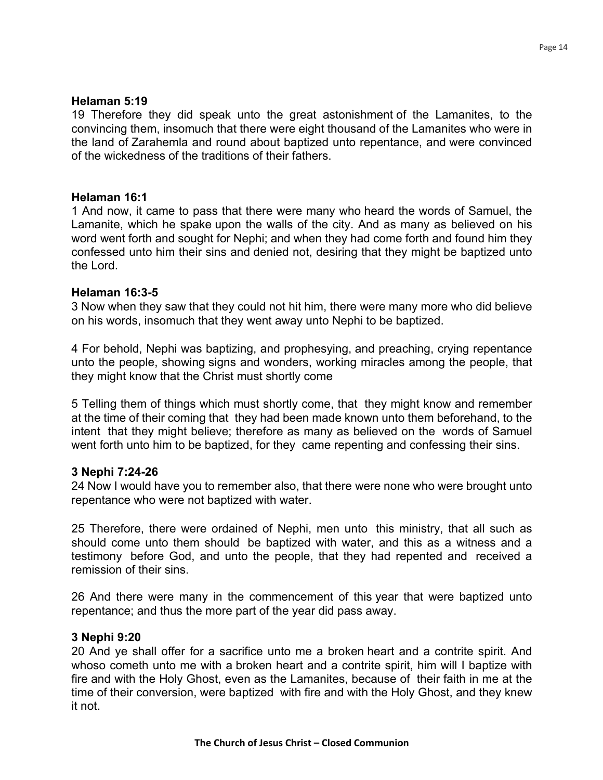19 Therefore they did speak unto the great astonishment of the Lamanites, to the convincing them, insomuch that there were eight thousand of the Lamanites who were in the land of Zarahemla and round about baptized unto repentance, and were convinced of the wickedness of the traditions of their fathers.

#### **Helaman 16:1**

1 And now, it came to pass that there were many who heard the words of Samuel, the Lamanite, which he spake upon the walls of the city. And as many as believed on his word went forth and sought for Nephi; and when they had come forth and found him they confessed unto him their sins and denied not, desiring that they might be baptized unto the Lord.

#### **Helaman 16:3-5**

3 Now when they saw that they could not hit him, there were many more who did believe on his words, insomuch that they went away unto Nephi to be baptized.

4 For behold, Nephi was baptizing, and prophesying, and preaching, crying repentance unto the people, showing signs and wonders, working miracles among the people, that they might know that the Christ must shortly come

5 Telling them of things which must shortly come, that they might know and remember at the time of their coming that they had been made known unto them beforehand, to the intent that they might believe; therefore as many as believed on the words of Samuel went forth unto him to be baptized, for they came repenting and confessing their sins.

#### **3 Nephi 7:24-26**

24 Now I would have you to remember also, that there were none who were brought unto repentance who were not baptized with water.

25 Therefore, there were ordained of Nephi, men unto this ministry, that all such as should come unto them should be baptized with water, and this as a witness and a testimony before God, and unto the people, that they had repented and received a remission of their sins.

26 And there were many in the commencement of this year that were baptized unto repentance; and thus the more part of the year did pass away.

#### **3 Nephi 9:20**

20 And ye shall offer for a sacrifice unto me a broken heart and a contrite spirit. And whoso cometh unto me with a broken heart and a contrite spirit, him will I baptize with fire and with the Holy Ghost, even as the Lamanites, because of their faith in me at the time of their conversion, were baptized with fire and with the Holy Ghost, and they knew it not.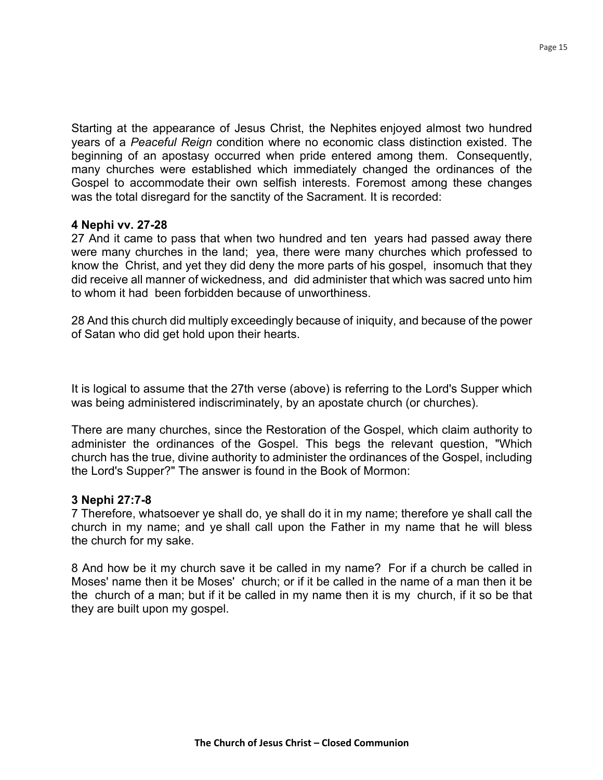years of a *Peaceful Reign* condition where no economic class distinction existed. The beginning of an apostasy occurred when pride entered among them. Consequently, many churches were established which immediately changed the ordinances of the Gospel to accommodate their own selfish interests. Foremost among these changes was the total disregard for the sanctity of the Sacrament. It is recorded:

## **4 Nephi vv. 27-28**

27 And it came to pass that when two hundred and ten years had passed away there were many churches in the land; yea, there were many churches which professed to know the Christ, and yet they did deny the more parts of his gospel, insomuch that they did receive all manner of wickedness, and did administer that which was sacred unto him to whom it had been forbidden because of unworthiness.

28 And this church did multiply exceedingly because of iniquity, and because of the power of Satan who did get hold upon their hearts.

It is logical to assume that the 27th verse (above) is referring to the Lord's Supper which was being administered indiscriminately, by an apostate church (or churches).

There are many churches, since the Restoration of the Gospel, which claim authority to administer the ordinances of the Gospel. This begs the relevant question, "Which church has the true, divine authority to administer the ordinances of the Gospel, including the Lord's Supper?" The answer is found in the Book of Mormon:

## **3 Nephi 27:7-8**

7 Therefore, whatsoever ye shall do, ye shall do it in my name; therefore ye shall call the church in my name; and ye shall call upon the Father in my name that he will bless the church for my sake.

8 And how be it my church save it be called in my name? For if a church be called in Moses' name then it be Moses' church; or if it be called in the name of a man then it be the church of a man; but if it be called in my name then it is my church, if it so be that they are built upon my gospel.